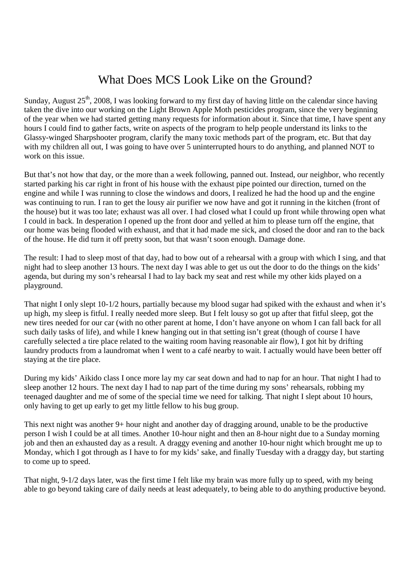## What Does MCS Look Like on the Ground?

Sunday, August  $25<sup>th</sup>$ , 2008, I was looking forward to my first day of having little on the calendar since having taken the dive into our working on the Light Brown Apple Moth pesticides program, since the very beginning of the year when we had started getting many requests for information about it. Since that time, I have spent any hours I could find to gather facts, write on aspects of the program to help people understand its links to the Glassy-winged Sharpshooter program, clarify the many toxic methods part of the program, etc. But that day with my children all out, I was going to have over 5 uninterrupted hours to do anything, and planned NOT to work on this issue.

But that's not how that day, or the more than a week following, panned out. Instead, our neighbor, who recently started parking his car right in front of his house with the exhaust pipe pointed our direction, turned on the engine and while I was running to close the windows and doors, I realized he had the hood up and the engine was continuing to run. I ran to get the lousy air purifier we now have and got it running in the kitchen (front of the house) but it was too late; exhaust was all over. I had closed what I could up front while throwing open what I could in back. In desperation I opened up the front door and yelled at him to please turn off the engine, that our home was being flooded with exhaust, and that it had made me sick, and closed the door and ran to the back of the house. He did turn it off pretty soon, but that wasn't soon enough. Damage done.

The result: I had to sleep most of that day, had to bow out of a rehearsal with a group with which I sing, and that night had to sleep another 13 hours. The next day I was able to get us out the door to do the things on the kids' agenda, but during my son's rehearsal I had to lay back my seat and rest while my other kids played on a playground.

That night I only slept 10-1/2 hours, partially because my blood sugar had spiked with the exhaust and when it's up high, my sleep is fitful. I really needed more sleep. But I felt lousy so got up after that fitful sleep, got the new tires needed for our car (with no other parent at home, I don't have anyone on whom I can fall back for all such daily tasks of life), and while I knew hanging out in that setting isn't great (though of course I have carefully selected a tire place related to the waiting room having reasonable air flow), I got hit by drifting laundry products from a laundromat when I went to a café nearby to wait. I actually would have been better off staying at the tire place.

During my kids' Aikido class I once more lay my car seat down and had to nap for an hour. That night I had to sleep another 12 hours. The next day I had to nap part of the time during my sons' rehearsals, robbing my teenaged daughter and me of some of the special time we need for talking. That night I slept about 10 hours, only having to get up early to get my little fellow to his bug group.

This next night was another 9+ hour night and another day of dragging around, unable to be the productive person I wish I could be at all times. Another 10-hour night and then an 8-hour night due to a Sunday morning job and then an exhausted day as a result. A draggy evening and another 10-hour night which brought me up to Monday, which I got through as I have to for my kids' sake, and finally Tuesday with a draggy day, but starting to come up to speed.

That night, 9-1/2 days later, was the first time I felt like my brain was more fully up to speed, with my being able to go beyond taking care of daily needs at least adequately, to being able to do anything productive beyond.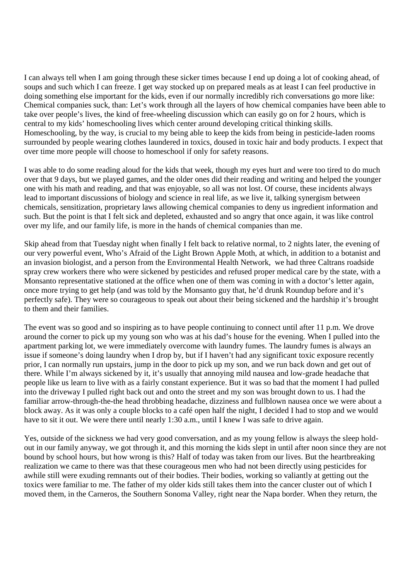I can always tell when I am going through these sicker times because I end up doing a lot of cooking ahead, of soups and such which I can freeze. I get way stocked up on prepared meals as at least I can feel productive in doing something else important for the kids, even if our normally incredibly rich conversations go more like: Chemical companies suck, than: Let's work through all the layers of how chemical companies have been able to take over people's lives, the kind of free-wheeling discussion which can easily go on for 2 hours, which is central to my kids' homeschooling lives which center around developing critical thinking skills. Homeschooling, by the way, is crucial to my being able to keep the kids from being in pesticide-laden rooms surrounded by people wearing clothes laundered in toxics, doused in toxic hair and body products. I expect that over time more people will choose to homeschool if only for safety reasons.

I was able to do some reading aloud for the kids that week, though my eyes hurt and were too tired to do much over that 9 days, but we played games, and the older ones did their reading and writing and helped the younger one with his math and reading, and that was enjoyable, so all was not lost. Of course, these incidents always lead to important discussions of biology and science in real life, as we live it, talking synergism between chemicals, sensitization, proprietary laws allowing chemical companies to deny us ingredient information and such. But the point is that I felt sick and depleted, exhausted and so angry that once again, it was like control over my life, and our family life, is more in the hands of chemical companies than me.

Skip ahead from that Tuesday night when finally I felt back to relative normal, to 2 nights later, the evening of our very powerful event, Who's Afraid of the Light Brown Apple Moth, at which, in addition to a botanist and an invasion biologist, and a person from the Environmental Health Network, we had three Caltrans roadside spray crew workers there who were sickened by pesticides and refused proper medical care by the state, with a Monsanto representative stationed at the office when one of them was coming in with a doctor's letter again, once more trying to get help (and was told by the Monsanto guy that, he'd drunk Roundup before and it's perfectly safe). They were so courageous to speak out about their being sickened and the hardship it's brought to them and their families.

The event was so good and so inspiring as to have people continuing to connect until after 11 p.m. We drove around the corner to pick up my young son who was at his dad's house for the evening. When I pulled into the apartment parking lot, we were immediately overcome with laundry fumes. The laundry fumes is always an issue if someone's doing laundry when I drop by, but if I haven't had any significant toxic exposure recently prior, I can normally run upstairs, jump in the door to pick up my son, and we run back down and get out of there. While I'm always sickened by it, it's usually that annoying mild nausea and low-grade headache that people like us learn to live with as a fairly constant experience. But it was so bad that the moment I had pulled into the driveway I pulled right back out and onto the street and my son was brought down to us. I had the familiar arrow-through-the-the head throbbing headache, dizziness and fullblown nausea once we were about a block away. As it was only a couple blocks to a café open half the night, I decided I had to stop and we would have to sit it out. We were there until nearly 1:30 a.m., until I knew I was safe to drive again.

Yes, outside of the sickness we had very good conversation, and as my young fellow is always the sleep holdout in our family anyway, we got through it, and this morning the kids slept in until after noon since they are not bound by school hours, but how wrong is this? Half of today was taken from our lives. But the heartbreaking realization we came to there was that these courageous men who had not been directly using pesticides for awhile still were exuding remnants out of their bodies. Their bodies, working so valiantly at getting out the toxics were familiar to me. The father of my older kids still takes them into the cancer cluster out of which I moved them, in the Carneros, the Southern Sonoma Valley, right near the Napa border. When they return, the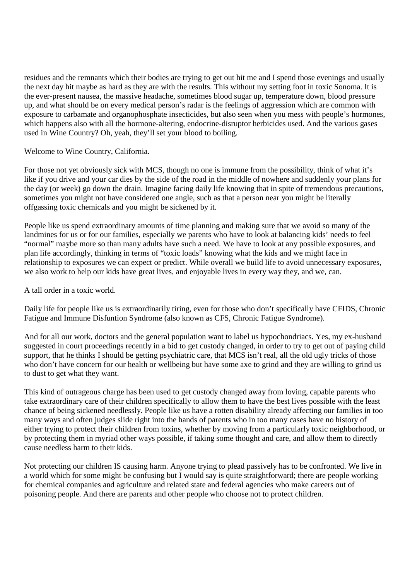residues and the remnants which their bodies are trying to get out hit me and I spend those evenings and usually the next day hit maybe as hard as they are with the results. This without my setting foot in toxic Sonoma. It is the ever-present nausea, the massive headache, sometimes blood sugar up, temperature down, blood pressure up, and what should be on every medical person's radar is the feelings of aggression which are common with exposure to carbamate and organophosphate insecticides, but also seen when you mess with people's hormones, which happens also with all the hormone-altering, endocrine-disruptor herbicides used. And the various gases used in Wine Country? Oh, yeah, they'll set your blood to boiling.

Welcome to Wine Country, California.

For those not yet obviously sick with MCS, though no one is immune from the possibility, think of what it's like if you drive and your car dies by the side of the road in the middle of nowhere and suddenly your plans for the day (or week) go down the drain. Imagine facing daily life knowing that in spite of tremendous precautions, sometimes you might not have considered one angle, such as that a person near you might be literally offgassing toxic chemicals and you might be sickened by it.

People like us spend extraordinary amounts of time planning and making sure that we avoid so many of the landmines for us or for our families, especially we parents who have to look at balancing kids' needs to feel "normal" maybe more so than many adults have such a need. We have to look at any possible exposures, and plan life accordingly, thinking in terms of "toxic loads" knowing what the kids and we might face in relationship to exposures we can expect or predict. While overall we build life to avoid unnecessary exposures, we also work to help our kids have great lives, and enjoyable lives in every way they, and we, can.

A tall order in a toxic world.

Daily life for people like us is extraordinarily tiring, even for those who don't specifically have CFIDS, Chronic Fatigue and Immune Disfuntion Syndrome (also known as CFS, Chronic Fatigue Syndrome).

And for all our work, doctors and the general population want to label us hypochondriacs. Yes, my ex-husband suggested in court proceedings recently in a bid to get custody changed, in order to try to get out of paying child support, that he thinks I should be getting psychiatric care, that MCS isn't real, all the old ugly tricks of those who don't have concern for our health or wellbeing but have some axe to grind and they are willing to grind us to dust to get what they want.

This kind of outrageous charge has been used to get custody changed away from loving, capable parents who take extraordinary care of their children specifically to allow them to have the best lives possible with the least chance of being sickened needlessly. People like us have a rotten disability already affecting our families in too many ways and often judges slide right into the hands of parents who in too many cases have no history of either trying to protect their children from toxins, whether by moving from a particularly toxic neighborhood, or by protecting them in myriad other ways possible, if taking some thought and care, and allow them to directly cause needless harm to their kids.

Not protecting our children IS causing harm. Anyone trying to plead passively has to be confronted. We live in a world which for some might be confusing but I would say is quite straightforward; there are people working for chemical companies and agriculture and related state and federal agencies who make careers out of poisoning people. And there are parents and other people who choose not to protect children.